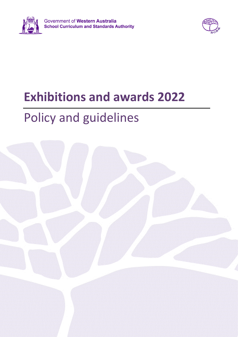



# **Exhibitions and awards 2022**

# Policy and guidelines

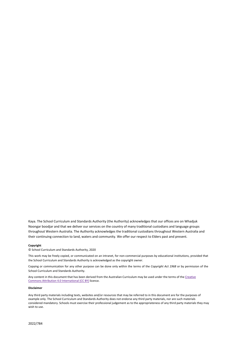Kaya. The School Curriculum and Standards Authority (the Authority) acknowledges that our offices are on Whadjuk Noongar boodjar and that we deliver our services on the country of many traditional custodians and language groups throughout Western Australia. The Authority acknowledges the traditional custodians throughout Western Australia and their continuing connection to land, waters and community. We offer our respect to Elders past and present.

#### **Copyright**

© School Curriculum and Standards Authority, 2020

This work may be freely copied, or communicated on an intranet, for non-commercial purposes by educational institutions, provided that the School Curriculum and Standards Authority is acknowledged as the copyright owner.

Copying or communication for any other purpose can be done only within the terms of the *Copyright Act 1968* or by permission of the School Curriculum and Standards Authority.

Any content in this document that has been derived from the Australian Curriculum may be used under the terms of the Creative [Commons Attribution 4.0 International \(CC BY\)](https://creativecommons.org/licenses/by/4.0/) licence.

#### **Disclaimer**

Any third party materials including texts, websites and/or resources that may be referred to in this document are for the purposes of example only. The School Curriculum and Standards Authority does not endorse any third party materials, nor are such materials considered mandatory. Schools must exercise their professional judgement as to the appropriateness of any third party materials they may wish to use.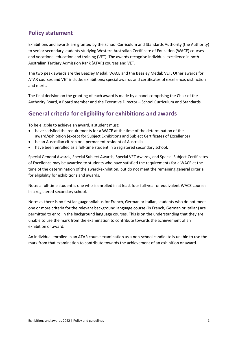# **Policy statement**

Exhibitions and awards are granted by the School Curriculum and Standards Authority (the Authority) to senior secondary students studying Western Australian Certificate of Education (WACE) courses and vocational education and training (VET). The awards recognise individual excellence in both Australian Tertiary Admission Rank (ATAR) courses and VET.

The two peak awards are the Beazley Medal: WACE and the Beazley Medal: VET. Other awards for ATAR courses and VET include: exhibitions; special awards and certificates of excellence, distinction and merit.

The final decision on the granting of each award is made by a panel comprising the Chair of the Authority Board, a Board member and the Executive Director – School Curriculum and Standards.

# **General criteria for eligibility for exhibitions and awards**

To be eligible to achieve an award, a student must:

- have satisfied the requirements for a WACE at the time of the determination of the award/exhibition (except for Subject Exhibitions and Subject Certificates of Excellence)
- be an Australian citizen or a permanent resident of Australia
- have been enrolled as a full-time student in a registered secondary school.

Special General Awards, Special Subject Awards, Special VET Awards, and Special Subject Certificates of Excellence may be awarded to students who have satisfied the requirements for a WACE at the time of the determination of the award/exhibition, but do not meet the remaining general criteria for eligibility for exhibitions and awards.

Note: a full-time student is one who is enrolled in at least four full-year or equivalent WACE courses in a registered secondary school.

Note: as there is no first language syllabus for French, German or Italian, students who do not meet one or more criteria for the relevant background language course (in French, German or Italian) are permitted to enrol in the background language courses. This is on the understanding that they are unable to use the mark from the examination to contribute towards the achievement of an exhibition or award.

An individual enrolled in an ATAR course examination as a non-school candidate is unable to use the mark from that examination to contribute towards the achievement of an exhibition or award.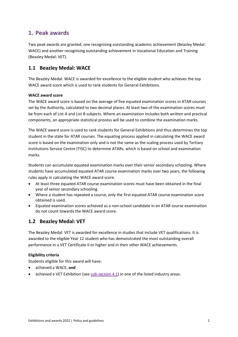# **1. Peak awards**

Two peak awards are granted, one recognising outstanding academic achievement (Beazley Medal: WACE) and another recognising outstanding achievement in Vocational Education and Training (Beazley Medal: VET).

## <span id="page-3-0"></span>**1.1 Beazley Medal: WACE**

The Beazley Medal: WACE is awarded for excellence to the eligible student who achieves the top WACE award score which is used to rank students for General Exhibitions.

### **WACE award score**

The WACE award score is based on the average of five equated examination scores in ATAR courses set by the Authority, calculated to two decimal places. At least two of the examination scores must be from each of List A and List B subjects. Where an examination includes both written and practical components, an appropriate statistical process will be used to combine the examination marks.

The WACE award score is used to rank students for General Exhibitions and thus determines the top student in the state for ATAR courses. The equating process applied in calculating the WACE award score is based on the examination only and is not the same as the scaling process used by Tertiary Institutions Service Centre (TISC) to determine ATARs, which is based on school and examination marks.

Students can accumulate equated examination marks over their senior secondary schooling. Where students have accumulated equated ATAR course examination marks over two years, the following rules apply in calculating the WACE award score.

- At least three equated ATAR course examination scores must have been obtained in the final year of senior secondary schooling.
- Where a student has repeated a course, only the first equated ATAR course examination score obtained is used.
- Equated examination scores achieved as a non-school candidate in an ATAR course examination do not count towards the WACE award score.

## **1.2 Beazley Medal: VET**

The Beazley Medal: VET is awarded for excellence in studies that include VET qualifications. It is awarded to the eligible Year 12 student who has demonstrated the most outstanding overall performance in a VET Certificate II or higher and in their other WACE achievements.

### **Eligibility criteria**

Students eligible for this award will have:

- achieved a WACE, **and**
- achieved a VET Exhibition (se[e sub-section 4.1\)](#page-6-0) in one of the listed industry areas.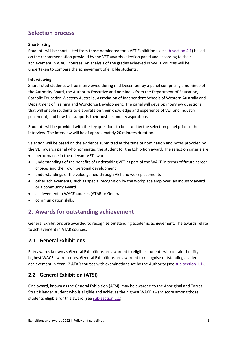# **Selection process**

#### **Short-listing**

Students will be short-listed from those nominated for a VET Exhibition (see [sub-section 4.1\)](#page-6-0) based on the recommendation provided by the VET awards selection panel and according to their achievement in WACE courses. An analysis of the grades achieved in WACE courses will be undertaken to compare the achievement of eligible students.

#### **Interviewing**

Short-listed students will be interviewed during mid-December by a panel comprising a nominee of the Authority Board, the Authority Executive and nominees from the Department of Education, Catholic Education Western Australia, Association of Independent Schools of Western Australia and Department of Training and Workforce Development. The panel will develop interview questions that will enable students to elaborate on their knowledge and experience of VET and industry placement, and how this supports their post-secondary aspirations.

Students will be provided with the key questions to be asked by the selection panel prior to the interview. The interview will be of approximately 20 minutes duration.

Selection will be based on the evidence submitted at the time of nomination and notes provided by the VET awards panel who nominated the student for the Exhibition award. The selection criteria are:

- performance in the relevant VET award
- understandings of the benefits of undertaking VET as part of the WACE in terms of future career choices and their own personal development
- understandings of the value gained through VET and work placements
- other achievements, such as special recognition by the workplace employer, an industry award or a community award
- achievement in WACE courses (ATAR or General)
- communication skills.

# **2. Awards for outstanding achievement**

General Exhibitions are awarded to recognise outstanding academic achievement. The awards relate to achievement in ATAR courses.

## **2.1 General Exhibitions**

Fifty awards known as General Exhibitions are awarded to eligible students who obtain the fifty highest WACE award scores. General Exhibitions are awarded to recognise outstanding academic achievement in Year 12 ATAR courses with examinations set by the Authority (se[e sub-section 1.1\)](#page-3-0).

## **2.2 General Exhibition (ATSI)**

One award, known as the General Exhibition (ATSI), may be awarded to the Aboriginal and Torres Strait Islander student who is eligible and achieves the highest WACE award score among those students eligible for this award (se[e sub-section 1.1\)](#page-3-0).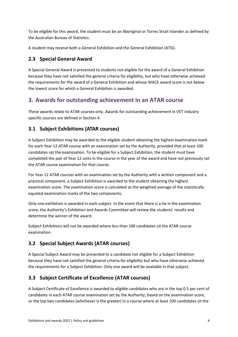To be eligible for this award, the student must be an Aboriginal or Torres Strait Islander as defined by the Australian Bureau of Statistics.

A student may receive both a General Exhibition and the General Exhibition (ATSI).

## **2.3 Special General Award**

A Special General Award is presented to students not eligible for the award of a General Exhibition because they have not satisfied the general criteria for eligibility, but who have otherwise achieved the requirements for the award of a General Exhibition and whose WACE award score is not below the lowest score for which a General Exhibition is awarded.

# **3. Awards for outstanding achievement in an ATAR course**

These awards relate to ATAR courses only. Awards for outstanding achievement in VET industry specific courses are defined in Section 4.

## **3.1 Subject Exhibitions (ATAR courses)**

A Subject Exhibition may be awarded to the eligible student obtaining the highest examination mark for each Year 12 ATAR course with an examination set by the Authority, provided that at least 100 candidates sat the examination. To be eligible for a Subject Exhibition, the student must have completed the pair of Year 12 units in the course in the year of the award and have not previously sat the ATAR course examination for that course.

For Year 12 ATAR courses with an examination set by the Authority with a written component and a practical component, a Subject Exhibition is awarded to the student obtaining the highest examination score. The examination score is calculated as the weighted average of the statistically equated examination marks of the two components.

Only one exhibition is awarded in each subject. In the event that there is a tie in the examination score, the Authority's Exhibition and Awards Committee will review the students' results and determine the winner of the award.

Subject Exhibitions will not be awarded where less than 100 candidates sit the ATAR course examination.

# **3.2 Special Subject Awards (ATAR courses)**

A Special Subject Award may be presented to a candidate not eligible for a Subject Exhibition because they have not satisfied the general criteria for eligibility but who have otherwise achieved the requirements for a Subject Exhibition. Only one award will be available in that subject.

# **3.3 Subject Certificate of Excellence (ATAR courses)**

A Subject Certificate of Excellence is awarded to eligible candidates who are in the top 0.5 per cent of candidates in each ATAR course examination set by the Authority, based on the examination score, or the top two candidates (whichever is the greater) in a course where at least 100 candidates sit the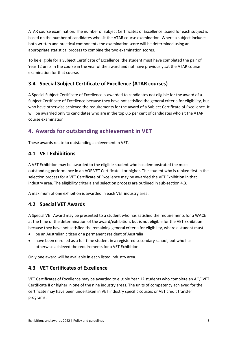ATAR course examination. The number of Subject Certificates of Excellence issued for each subject is based on the number of candidates who sit the ATAR course examination. Where a subject includes both written and practical components the examination score will be determined using an appropriate statistical process to combine the two examination scores.

To be eligible for a Subject Certificate of Excellence, the student must have completed the pair of Year 12 units in the course in the year of the award and not have previously sat the ATAR course examination for that course.

# **3.4 Special Subject Certificate of Excellence (ATAR courses)**

A Special Subject Certificate of Excellence is awarded to candidates not eligible for the award of a Subject Certificate of Excellence because they have not satisfied the general criteria for eligibility, but who have otherwise achieved the requirements for the award of a Subject Certificate of Excellence. It will be awarded only to candidates who are in the top 0.5 per cent of candidates who sit the ATAR course examination.

# **4. Awards for outstanding achievement in VET**

These awards relate to outstanding achievement in VET.

## <span id="page-6-0"></span>**4.1 VET Exhibitions**

A VET Exhibition may be awarded to the eligible student who has demonstrated the most outstanding performance in an AQF VET Certificate II or higher. The student who is ranked first in the selection process for a VET Certificate of Excellence may be awarded the VET Exhibition in that industry area. The eligibility criteria and selection process are outlined in sub-section 4.3.

A maximum of one exhibition is awarded in each VET industry area.

## **4.2 Special VET Awards**

A Special VET Award may be presented to a student who has satisfied the requirements for a WACE at the time of the determination of the award/exhibition, but is not eligible for the VET Exhibition because they have not satisfied the remaining general criteria for eligibility, where a student must:

- be an Australian citizen or a permanent resident of Australia
- have been enrolled as a full-time student in a registered secondary school, but who has otherwise achieved the requirements for a VET Exhibition.

Only one award will be available in each listed industry area.

## **4.3 VET Certificates of Excellence**

VET Certificates of Excellence may be awarded to eligible Year 12 students who complete an AQF VET Certificate II or higher in one of the nine industry areas. The units of competency achieved for the certificate may have been undertaken in VET industry specific courses or VET credit transfer programs.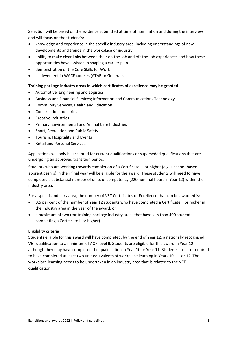Selection will be based on the evidence submitted at time of nomination and during the interview and will focus on the student's:

- knowledge and experience in the specific industry area, including understandings of new developments and trends in the workplace or industry
- ability to make clear links between their on-the-job and off-the-job experiences and how these opportunities have assisted in shaping a career plan
- demonstration of the Core Skills for Work
- achievement in WACE courses (ATAR or General).

#### **Training package industry areas in which certificates of excellence may be granted**

- Automotive, Engineering and Logistics
- Business and Financial Services; Information and Communications Technology
- Community Services, Health and Education
- Construction Industries
- Creative Industries
- Primary, Environmental and Animal Care Industries
- Sport, Recreation and Public Safety
- Tourism, Hospitality and Events
- Retail and Personal Services.

Applications will only be accepted for current qualifications or superseded qualifications that are undergoing an approved transition period.

Students who are working towards completion of a Certificate III or higher (e.g. a school-based apprenticeship) in their final year will be eligible for the award. These students will need to have completed a substantial number of units of competency (220 nominal hours in Year 12) within the industry area.

For a specific industry area, the number of VET Certificates of Excellence that can be awarded is:

- 0.5 per cent of the number of Year 12 students who have completed a Certificate II or higher in the industry area in the year of the award, **or**
- a maximum of two (for training package industry areas that have less than 400 students completing a Certificate II or higher).

#### **Eligibility criteria**

Students eligible for this award will have completed, by the end of Year 12, a nationally recognised VET qualification to a minimum of AQF level II. Students are eligible for this award in Year 12 although they may have completed the qualification in Year 10 or Year 11. Students are also required to have completed at least two unit equivalents of workplace learning in Years 10, 11 or 12. The workplace learning needs to be undertaken in an industry area that is related to the VET qualification.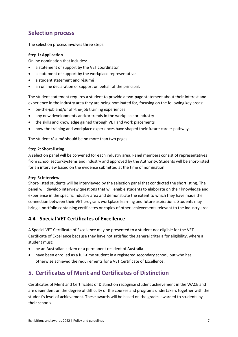# **Selection process**

The selection process involves three steps.

### **Step 1: Application**

Online nomination that includes:

- a statement of support by the VET coordinator
- a statement of support by the workplace representative
- a student statement and résumé
- an online declaration of support on behalf of the principal.

The student statement requires a student to provide a two-page statement about their interest and experience in the industry area they are being nominated for, focusing on the following key areas:

- on-the-job and/or off-the-job training experiences
- any new developments and/or trends in the workplace or industry
- the skills and knowledge gained through VET and work placements
- how the training and workplace experiences have shaped their future career pathways.

The student résumé should be no more than two pages.

#### **Step 2: Short-listing**

A selection panel will be convened for each industry area. Panel members consist of representatives from school sector/systems and industry and approved by the Authority. Students will be short-listed for an interview based on the evidence submitted at the time of nomination.

#### **Step 3: Interview**

Short-listed students will be interviewed by the selection panel that conducted the shortlisting. The panel will develop interview questions that will enable students to elaborate on their knowledge and experience in the specific industry area and demonstrate the extent to which they have made the connection between their VET program, workplace learning and future aspirations. Students may bring a portfolio containing certificates or copies of other achievements relevant to the industry area.

### **4.4 Special VET Certificates of Excellence**

A Special VET Certificate of Excellence may be presented to a student not eligible for the VET Certificate of Excellence because they have not satisfied the general criteria for eligibility, where a student must:

- be an Australian citizen or a permanent resident of Australia
- have been enrolled as a full-time student in a registered secondary school, but who has otherwise achieved the requirements for a VET Certificate of Excellence.

# **5. Certificates of Merit and Certificates of Distinction**

Certificates of Merit and Certificates of Distinction recognise student achievement in the WACE and are dependent on the degree of difficulty of the courses and programs undertaken, together with the student's level of achievement. These awards will be based on the grades awarded to students by their schools.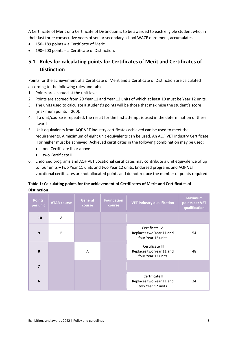A Certificate of Merit or a Certificate of Distinction is to be awarded to each eligible student who, in their last three consecutive years of senior secondary school WACE enrolment, accumulates:

- 150–189 points = a Certificate of Merit
- 190–200 points = a Certificate of Distinction.

# **5.1 Rules for calculating points for Certificates of Merit and Certificates of Distinction**

Points for the achievement of a Certificate of Merit and a Certificate of Distinction are calculated according to the following rules and table.

- 1. Points are accrued at the unit level.
- 2. Points are accrued from 20 Year 11 and Year 12 units of which at least 10 must be Year 12 units.
- 3. The units used to calculate a student's points will be those that maximise the student's score (maximum points = 200).
- 4. If a unit/course is repeated, the result for the first attempt is used in the determination of these awards.
- 5. Unit equivalents from AQF VET industry certificates achieved can be used to meet the requirements. A maximum of eight unit equivalents can be used. An AQF VET industry Certificate II or higher must be achieved. Achieved certificates in the following combination may be used:
	- one Certificate III or above
	- two Certificate II.
- 6. Endorsed programs and AQF VET vocational certificates may contribute a unit equivalence of up to four units – two Year 11 units and two Year 12 units. Endorsed programs and AQF VET vocational certificates are not allocated points and do not reduce the number of points required.

## **Table 1: Calculating points for the achievement of Certificates of Merit and Certificates of Distinction**

| <b>Points</b><br>per unit | <b>ATAR course</b> | <b>General</b><br>course | <b>Foundation</b><br>course | <b>VET industry qualification</b>                                 | <b>Maximum</b><br>points per VET<br>qualification |
|---------------------------|--------------------|--------------------------|-----------------------------|-------------------------------------------------------------------|---------------------------------------------------|
| 10                        | A                  |                          |                             |                                                                   |                                                   |
| 9                         | B                  |                          |                             | Certificate IV+<br>Replaces two Year 11 and<br>four Year 12 units | 54                                                |
| 8                         |                    | A                        |                             | Certificate III<br>Replaces two Year 11 and<br>four Year 12 units | 48                                                |
| $\overline{\mathbf{z}}$   |                    |                          |                             |                                                                   |                                                   |
| 6                         |                    |                          |                             | Certificate II<br>Replaces two Year 11 and<br>two Year 12 units   | 24                                                |